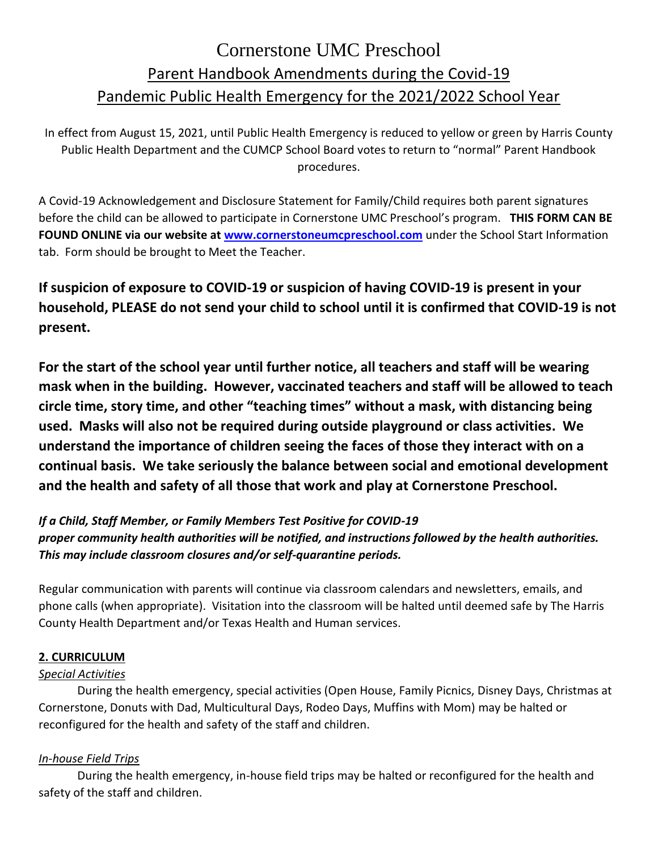# Cornerstone UMC Preschool Parent Handbook Amendments during the Covid-19 Pandemic Public Health Emergency for the 2021/2022 School Year

In effect from August 15, 2021, until Public Health Emergency is reduced to yellow or green by Harris County Public Health Department and the CUMCP School Board votes to return to "normal" Parent Handbook procedures.

A Covid-19 Acknowledgement and Disclosure Statement for Family/Child requires both parent signatures before the child can be allowed to participate in Cornerstone UMC Preschool's program. **THIS FORM CAN BE FOUND ONLINE via our website at [www.cornerstoneumcpreschool.com](http://www.cornerstoneumcpreschool.com/)** under the School Start Information tab. Form should be brought to Meet the Teacher.

**If suspicion of exposure to COVID-19 or suspicion of having COVID-19 is present in your household, PLEASE do not send your child to school until it is confirmed that COVID-19 is not present.**

**For the start of the school year until further notice, all teachers and staff will be wearing mask when in the building. However, vaccinated teachers and staff will be allowed to teach circle time, story time, and other "teaching times" without a mask, with distancing being used. Masks will also not be required during outside playground or class activities. We understand the importance of children seeing the faces of those they interact with on a continual basis. We take seriously the balance between social and emotional development and the health and safety of all those that work and play at Cornerstone Preschool.**

*If a Child, Staff Member, or Family Members Test Positive for COVID-19 proper community health authorities will be notified, and instructions followed by the health authorities. This may include classroom closures and/or self-quarantine periods.*

Regular communication with parents will continue via classroom calendars and newsletters, emails, and phone calls (when appropriate). Visitation into the classroom will be halted until deemed safe by The Harris County Health Department and/or Texas Health and Human services.

# **2. CURRICULUM**

# *Special Activities*

During the health emergency, special activities (Open House, Family Picnics, Disney Days, Christmas at Cornerstone, Donuts with Dad, Multicultural Days, Rodeo Days, Muffins with Mom) may be halted or reconfigured for the health and safety of the staff and children.

## *In-house Field Trips*

During the health emergency, in-house field trips may be halted or reconfigured for the health and safety of the staff and children.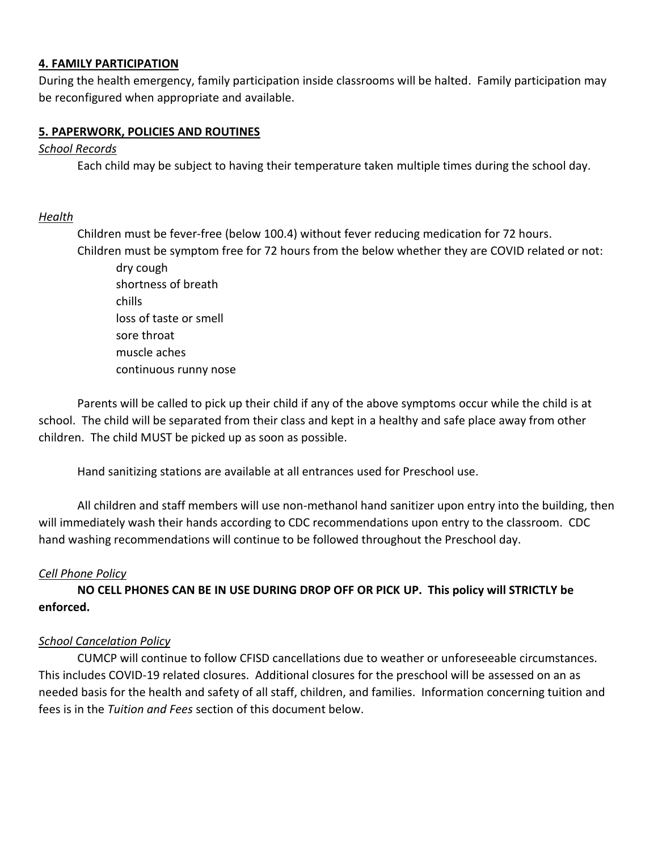#### **4. FAMILY PARTICIPATION**

During the health emergency, family participation inside classrooms will be halted. Family participation may be reconfigured when appropriate and available.

#### **5. PAPERWORK, POLICIES AND ROUTINES**

#### *School Records*

Each child may be subject to having their temperature taken multiple times during the school day.

#### *Health*

Children must be fever-free (below 100.4) without fever reducing medication for 72 hours.

Children must be symptom free for 72 hours from the below whether they are COVID related or not: dry cough shortness of breath chills loss of taste or smell sore throat muscle aches

continuous runny nose

Parents will be called to pick up their child if any of the above symptoms occur while the child is at school. The child will be separated from their class and kept in a healthy and safe place away from other children. The child MUST be picked up as soon as possible.

Hand sanitizing stations are available at all entrances used for Preschool use.

All children and staff members will use non-methanol hand sanitizer upon entry into the building, then will immediately wash their hands according to CDC recommendations upon entry to the classroom. CDC hand washing recommendations will continue to be followed throughout the Preschool day.

#### *Cell Phone Policy*

**NO CELL PHONES CAN BE IN USE DURING DROP OFF OR PICK UP. This policy will STRICTLY be enforced.**

#### *School Cancelation Policy*

CUMCP will continue to follow CFISD cancellations due to weather or unforeseeable circumstances. This includes COVID-19 related closures. Additional closures for the preschool will be assessed on an as needed basis for the health and safety of all staff, children, and families. Information concerning tuition and fees is in the *Tuition and Fees* section of this document below.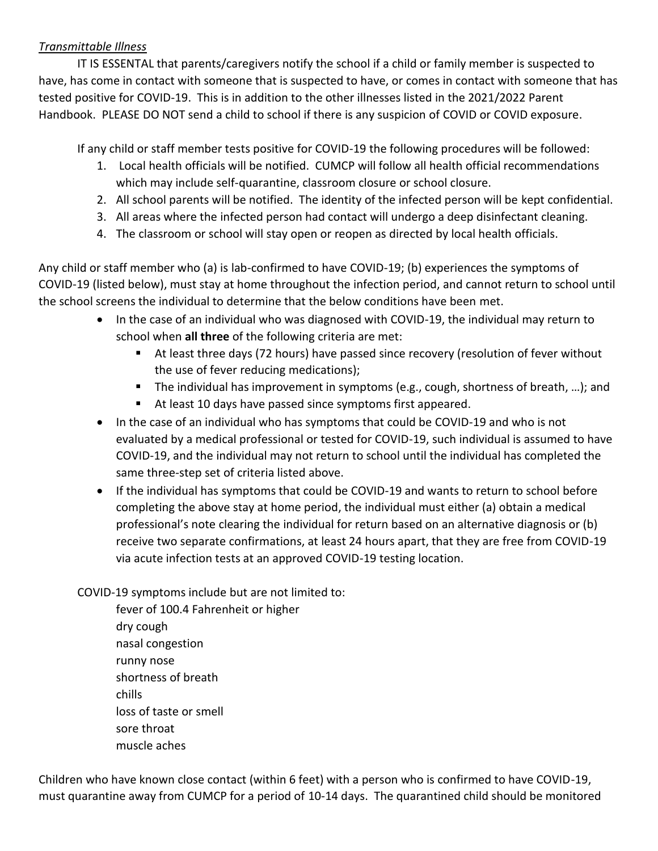## *Transmittable Illness*

IT IS ESSENTAL that parents/caregivers notify the school if a child or family member is suspected to have, has come in contact with someone that is suspected to have, or comes in contact with someone that has tested positive for COVID-19. This is in addition to the other illnesses listed in the 2021/2022 Parent Handbook. PLEASE DO NOT send a child to school if there is any suspicion of COVID or COVID exposure.

If any child or staff member tests positive for COVID-19 the following procedures will be followed:

- 1. Local health officials will be notified. CUMCP will follow all health official recommendations which may include self-quarantine, classroom closure or school closure.
- 2. All school parents will be notified. The identity of the infected person will be kept confidential.
- 3. All areas where the infected person had contact will undergo a deep disinfectant cleaning.
- 4. The classroom or school will stay open or reopen as directed by local health officials.

Any child or staff member who (a) is lab-confirmed to have COVID-19; (b) experiences the symptoms of COVID-19 (listed below), must stay at home throughout the infection period, and cannot return to school until the school screens the individual to determine that the below conditions have been met.

- In the case of an individual who was diagnosed with COVID-19, the individual may return to school when **all three** of the following criteria are met:
	- At least three days (72 hours) have passed since recovery (resolution of fever without the use of fever reducing medications);
	- The individual has improvement in symptoms (e.g., cough, shortness of breath, ...); and
	- At least 10 days have passed since symptoms first appeared.
- In the case of an individual who has symptoms that could be COVID-19 and who is not evaluated by a medical professional or tested for COVID-19, such individual is assumed to have COVID-19, and the individual may not return to school until the individual has completed the same three-step set of criteria listed above.
- If the individual has symptoms that could be COVID-19 and wants to return to school before completing the above stay at home period, the individual must either (a) obtain a medical professional's note clearing the individual for return based on an alternative diagnosis or (b) receive two separate confirmations, at least 24 hours apart, that they are free from COVID-19 via acute infection tests at an approved COVID-19 testing location.
- COVID-19 symptoms include but are not limited to:
	- fever of 100.4 Fahrenheit or higher dry cough nasal congestion runny nose shortness of breath chills loss of taste or smell sore throat muscle aches

Children who have known close contact (within 6 feet) with a person who is confirmed to have COVID-19, must quarantine away from CUMCP for a period of 10-14 days. The quarantined child should be monitored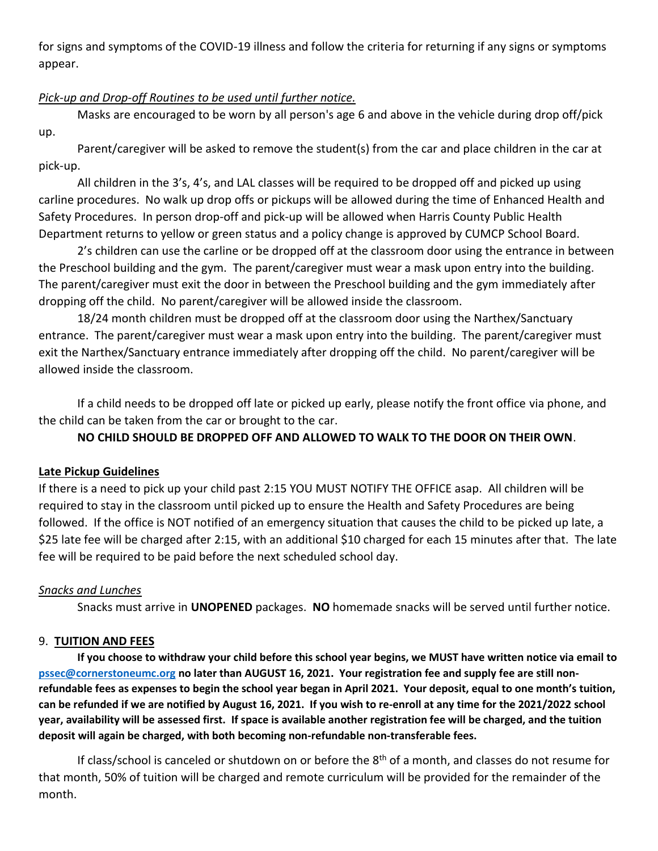for signs and symptoms of the COVID-19 illness and follow the criteria for returning if any signs or symptoms appear.

## *Pick-up and Drop-off Routines to be used until further notice.*

Masks are encouraged to be worn by all person's age 6 and above in the vehicle during drop off/pick up.

Parent/caregiver will be asked to remove the student(s) from the car and place children in the car at pick-up.

All children in the 3's, 4's, and LAL classes will be required to be dropped off and picked up using carline procedures. No walk up drop offs or pickups will be allowed during the time of Enhanced Health and Safety Procedures. In person drop-off and pick-up will be allowed when Harris County Public Health Department returns to yellow or green status and a policy change is approved by CUMCP School Board.

2's children can use the carline or be dropped off at the classroom door using the entrance in between the Preschool building and the gym. The parent/caregiver must wear a mask upon entry into the building. The parent/caregiver must exit the door in between the Preschool building and the gym immediately after dropping off the child. No parent/caregiver will be allowed inside the classroom.

18/24 month children must be dropped off at the classroom door using the Narthex/Sanctuary entrance. The parent/caregiver must wear a mask upon entry into the building. The parent/caregiver must exit the Narthex/Sanctuary entrance immediately after dropping off the child. No parent/caregiver will be allowed inside the classroom.

If a child needs to be dropped off late or picked up early, please notify the front office via phone, and the child can be taken from the car or brought to the car.

# **NO CHILD SHOULD BE DROPPED OFF AND ALLOWED TO WALK TO THE DOOR ON THEIR OWN**.

## **Late Pickup Guidelines**

If there is a need to pick up your child past 2:15 YOU MUST NOTIFY THE OFFICE asap. All children will be required to stay in the classroom until picked up to ensure the Health and Safety Procedures are being followed. If the office is NOT notified of an emergency situation that causes the child to be picked up late, a \$25 late fee will be charged after 2:15, with an additional \$10 charged for each 15 minutes after that. The late fee will be required to be paid before the next scheduled school day.

## *Snacks and Lunches*

Snacks must arrive in **UNOPENED** packages. **NO** homemade snacks will be served until further notice.

## 9. **TUITION AND FEES**

**If you choose to withdraw your child before this school year begins, we MUST have written notice via email to [pssec@cornerstoneumc.org](mailto:pssec@cornerstoneumc.org) no later than AUGUST 16, 2021. Your registration fee and supply fee are still nonrefundable fees as expenses to begin the school year began in April 2021. Your deposit, equal to one month's tuition, can be refunded if we are notified by August 16, 2021. If you wish to re-enroll at any time for the 2021/2022 school year, availability will be assessed first. If space is available another registration fee will be charged, and the tuition deposit will again be charged, with both becoming non-refundable non-transferable fees.**

If class/school is canceled or shutdown on or before the 8<sup>th</sup> of a month, and classes do not resume for that month, 50% of tuition will be charged and remote curriculum will be provided for the remainder of the month.